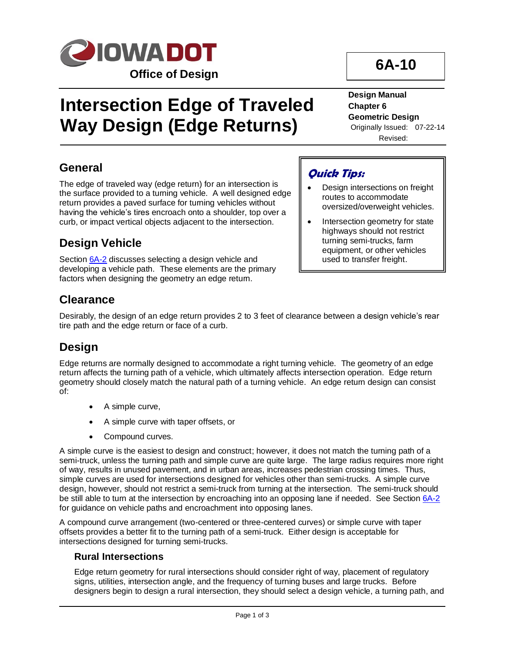

# **Intersection Edge of Traveled Way Design (Edge Returns)**

#### **Design Manual Chapter 6 Geometric Design** Originally Issued: 07-22-14

**6A-10**

Revised:

### **General**

The edge of traveled way (edge return) for an intersection is the surface provided to a turning vehicle. A well designed edge return provides a paved surface for turning vehicles without having the vehicle's tires encroach onto a shoulder, top over a curb, or impact vertical objects adjacent to the intersection.

### **Design Vehicle**

Section [6A-2](06a-02.pdf) discusses selecting a design vehicle and developing a vehicle path. These elements are the primary factors when designing the geometry an edge return.

# **Quick Tips:**

- Design intersections on freight routes to accommodate oversized/overweight vehicles.
- Intersection geometry for state highways should not restrict turning semi-trucks, farm equipment, or other vehicles used to transfer freight.

### **Clearance**

Desirably, the design of an edge return provides 2 to 3 feet of clearance between a design vehicle's rear tire path and the edge return or face of a curb.

### **Design**

Edge returns are normally designed to accommodate a right turning vehicle. The geometry of an edge return affects the turning path of a vehicle, which ultimately affects intersection operation. Edge return geometry should closely match the natural path of a turning vehicle. An edge return design can consist of:

- A simple curve,
- A simple curve with taper offsets, or
- Compound curves.

A simple curve is the easiest to design and construct; however, it does not match the turning path of a semi-truck, unless the turning path and simple curve are quite large. The large radius requires more right of way, results in unused pavement, and in urban areas, increases pedestrian crossing times. Thus, simple curves are used for intersections designed for vehicles other than semi-trucks. A simple curve design, however, should not restrict a semi-truck from turning at the intersection. The semi-truck should be still able to turn at the intersection by encroaching into an opposing lane if needed. See Section [6A-2](06a-02.pdf) for guidance on vehicle paths and encroachment into opposing lanes.

A compound curve arrangement (two-centered or three-centered curves) or simple curve with taper offsets provides a better fit to the turning path of a semi-truck. Either design is acceptable for intersections designed for turning semi-trucks.

#### **Rural Intersections**

Edge return geometry for rural intersections should consider right of way, placement of regulatory signs, utilities, intersection angle, and the frequency of turning buses and large trucks. Before designers begin to design a rural intersection, they should select a design vehicle, a turning path, and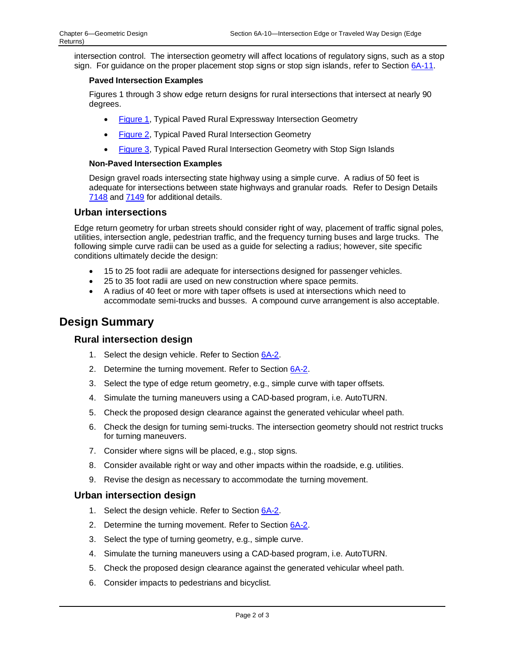intersection control. The intersection geometry will affect locations of regulatory signs, such as a stop sign. For guidance on the proper placement stop signs or stop sign islands, refer to Sectio[n 6A-11.](06A-11.pdf)

#### **Paved Intersection Examples**

Figures 1 through 3 show edge return designs for rural intersections that intersect at nearly 90 degrees.

- [Figure 1,](06A-10/Figure1.pdf) Typical Paved Rural Expressway Intersection Geometry
- [Figure 2,](06A-10/Figure2.pdf) Typical Paved Rural Intersection Geometry
- [Figure 3,](06A-10/Figure3.pdf) Typical Paved Rural Intersection Geometry with Stop Sign Islands

#### **Non-Paved Intersection Examples**

Design gravel roads intersecting state highway using a simple curve. A radius of 50 feet is adequate for intersections between state highways and granular roads. Refer to Design Details [7148](../tnt/PDFsandWebFiles/IndividualPDFs/7148.PDF) an[d 7149](../tnt/PDFsandWebFiles/IndividualPDFs/7149.PDF) for additional details.

#### **Urban intersections**

Edge return geometry for urban streets should consider right of way, placement of traffic signal poles, utilities, intersection angle, pedestrian traffic, and the frequency turning buses and large trucks. The following simple curve radii can be used as a guide for selecting a radius; however, site specific conditions ultimately decide the design:

- 15 to 25 foot radii are adequate for intersections designed for passenger vehicles.
- 25 to 35 foot radii are used on new construction where space permits.
- A radius of 40 feet or more with taper offsets is used at intersections which need to accommodate semi-trucks and busses. A compound curve arrangement is also acceptable.

### **Design Summary**

#### **Rural intersection design**

- 1. Select the design vehicle. Refer to Sectio[n 6A-2.](06a-02.pdf)
- 2. Determine the turning movement. Refer to Sectio[n 6A-2.](06a-02.pdf)
- 3. Select the type of edge return geometry, e.g., simple curve with taper offsets.
- 4. Simulate the turning maneuvers using a CAD-based program, i.e. AutoTURN.
- 5. Check the proposed design clearance against the generated vehicular wheel path.
- 6. Check the design for turning semi-trucks. The intersection geometry should not restrict trucks for turning maneuvers.
- 7. Consider where signs will be placed, e.g., stop signs.
- 8. Consider available right or way and other impacts within the roadside, e.g. utilities.
- 9. Revise the design as necessary to accommodate the turning movement.

#### **Urban intersection design**

- 1. Select the design vehicle. Refer to Sectio[n 6A-2.](06a-02.pdf)
- 2. Determine the turning movement. Refer to Sectio[n 6A-2.](06a-02.pdf)
- 3. Select the type of turning geometry, e.g., simple curve.
- 4. Simulate the turning maneuvers using a CAD-based program, i.e. AutoTURN.
- 5. Check the proposed design clearance against the generated vehicular wheel path.
- 6. Consider impacts to pedestrians and bicyclist.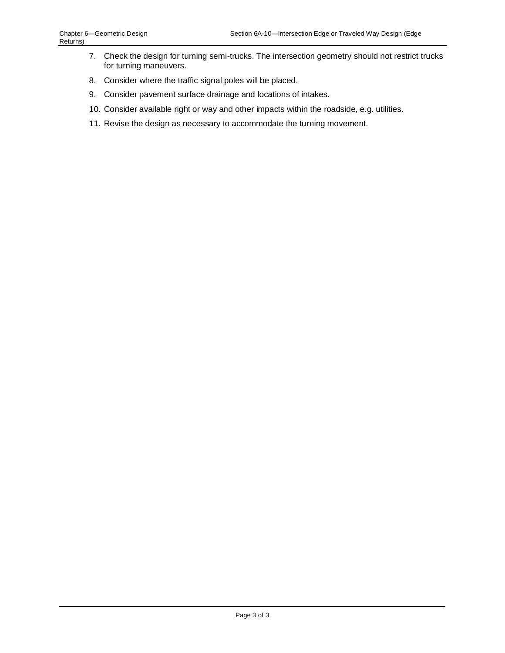- 7. Check the design for turning semi-trucks. The intersection geometry should not restrict trucks for turning maneuvers.
- 8. Consider where the traffic signal poles will be placed.
- 9. Consider pavement surface drainage and locations of intakes.
- 10. Consider available right or way and other impacts within the roadside, e.g. utilities.
- 11. Revise the design as necessary to accommodate the turning movement.